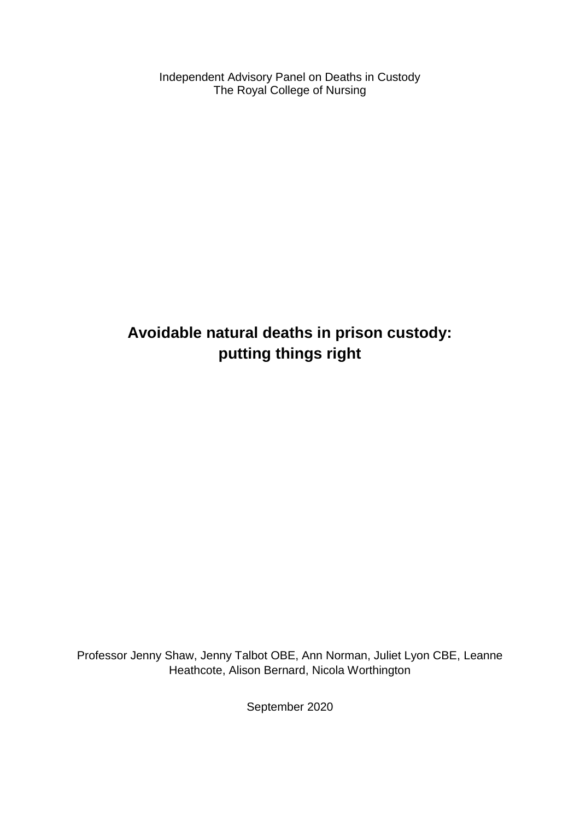Independent Advisory Panel on Deaths in Custody The Royal College of Nursing

# **Avoidable natural deaths in prison custody: putting things right**

Professor Jenny Shaw, Jenny Talbot OBE, Ann Norman, Juliet Lyon CBE, Leanne Heathcote, Alison Bernard, Nicola Worthington

September 2020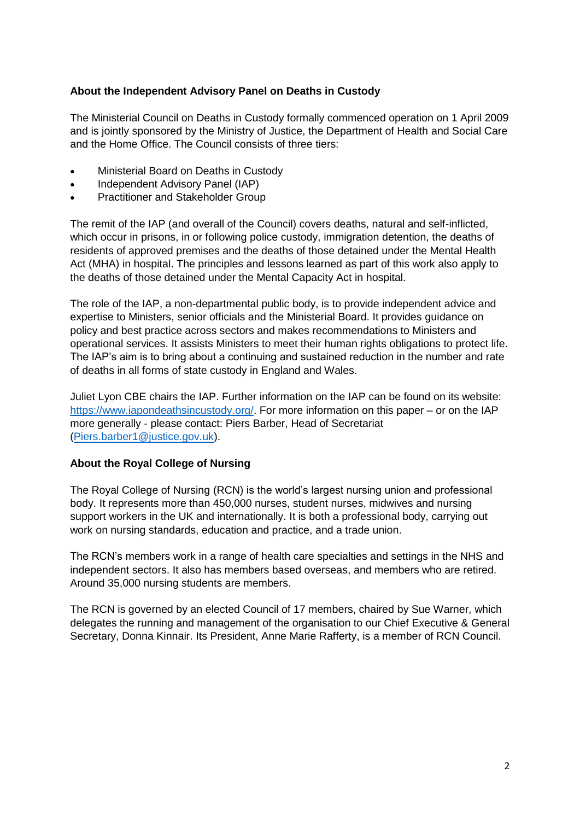### **About the Independent Advisory Panel on Deaths in Custody**

The Ministerial Council on Deaths in Custody formally commenced operation on 1 April 2009 and is jointly sponsored by the Ministry of Justice, the Department of Health and Social Care and the Home Office. The Council consists of three tiers:

- Ministerial Board on Deaths in Custody
- Independent Advisory Panel (IAP)
- Practitioner and Stakeholder Group

The remit of the IAP (and overall of the Council) covers deaths, natural and self-inflicted, which occur in prisons, in or following police custody, immigration detention, the deaths of residents of approved premises and the deaths of those detained under the Mental Health Act (MHA) in hospital. The principles and lessons learned as part of this work also apply to the deaths of those detained under the Mental Capacity Act in hospital.

The role of the IAP, a non-departmental public body, is to provide independent advice and expertise to Ministers, senior officials and the Ministerial Board. It provides guidance on policy and best practice across sectors and makes recommendations to Ministers and operational services. It assists Ministers to meet their human rights obligations to protect life. The IAP's aim is to bring about a continuing and sustained reduction in the number and rate of deaths in all forms of state custody in England and Wales.

Juliet Lyon CBE chairs the IAP. Further information on the IAP can be found on its website: [https://www.iapondeathsincustody.org/.](https://www.iapondeathsincustody.org/) For more information on this paper – or on the IAP more generally - please contact: Piers Barber, Head of Secretariat [\(Piers.barber1@justice.gov.uk\)](mailto:Piers.barber1@justice.gov.uk).

#### **About the Royal College of Nursing**

The Royal College of Nursing (RCN) is the world's largest nursing union and professional body. It represents more than 450,000 nurses, student nurses, midwives and nursing support workers in the UK and internationally. It is both a professional body, carrying out work on nursing standards, education and practice, and a trade union.

The RCN's members work in a range of health care specialties and settings in the NHS and independent sectors. It also has members based overseas, and members who are retired. Around 35,000 nursing students are members.

The RCN is governed by an elected Council of 17 members, chaired by Sue Warner, which delegates the running and management of the organisation to our Chief Executive & General Secretary, Donna Kinnair. Its President, Anne Marie Rafferty, is a member of RCN Council.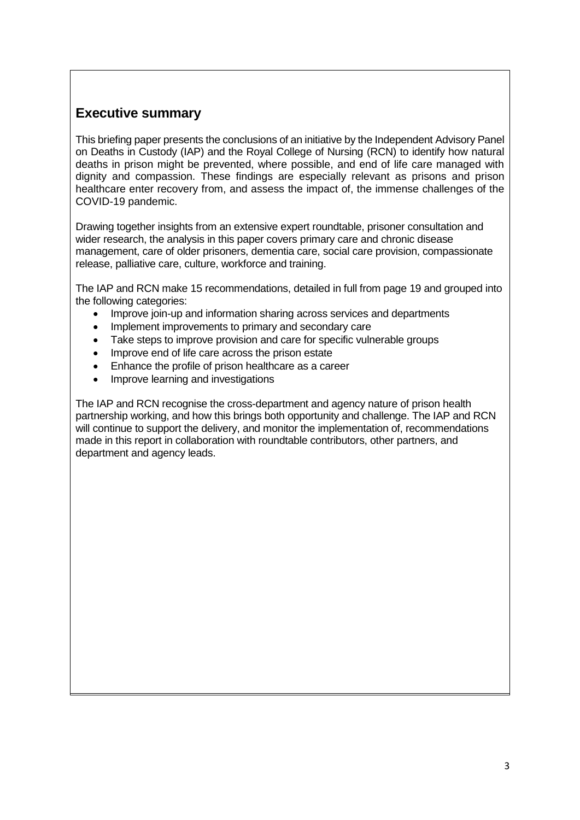### **Executive summary**

This briefing paper presents the conclusions of an initiative by the Independent Advisory Panel on Deaths in Custody (IAP) and the Royal College of Nursing (RCN) to identify how natural deaths in prison might be prevented, where possible, and end of life care managed with dignity and compassion. These findings are especially relevant as prisons and prison healthcare enter recovery from, and assess the impact of, the immense challenges of the COVID-19 pandemic.

Drawing together insights from an extensive expert roundtable, prisoner consultation and wider research, the analysis in this paper covers primary care and chronic disease management, care of older prisoners, dementia care, social care provision, compassionate release, palliative care, culture, workforce and training.

The IAP and RCN make 15 recommendations, detailed in full from page 19 and grouped into the following categories:

- Improve join-up and information sharing across services and departments
- Implement improvements to primary and secondary care
- Take steps to improve provision and care for specific vulnerable groups
- Improve end of life care across the prison estate
- Enhance the profile of prison healthcare as a career
- Improve learning and investigations

The IAP and RCN recognise the cross-department and agency nature of prison health partnership working, and how this brings both opportunity and challenge. The IAP and RCN will continue to support the delivery, and monitor the implementation of, recommendations made in this report in collaboration with roundtable contributors, other partners, and department and agency leads.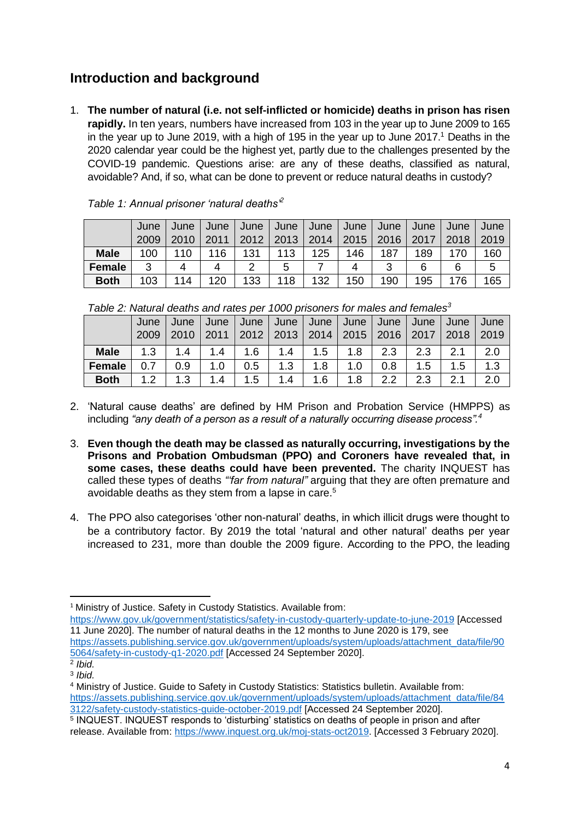# **Introduction and background**

1. **The number of natural (i.e. not self-inflicted or homicide) deaths in prison has risen rapidly.** In ten years, numbers have increased from 103 in the year up to June 2009 to 165 in the year up to June 2019, with a high of 195 in the year up to June  $2017<sup>1</sup>$  Deaths in the 2020 calendar year could be the highest yet, partly due to the challenges presented by the COVID-19 pandemic. Questions arise: are any of these deaths, classified as natural, avoidable? And, if so, what can be done to prevent or reduce natural deaths in custody?

|               | June | June | June | June | June | June | June | June | June | June | June |
|---------------|------|------|------|------|------|------|------|------|------|------|------|
|               | 2009 |      | 2011 | 2012 | 2013 | 2014 | 2015 | 2016 | 2017 | 2018 | 2019 |
| <b>Male</b>   | 100  | 110  | 16   | 131  | 113  | 125  | 146  | 187  | 189  | 170  | 160  |
| <b>Female</b> | ີ    |      | Δ    | っ    | 5    |      |      | 3    | 6    | 6    | 5    |
| <b>Both</b>   | 103  | 114  | 120  | 133  | 118  | 132  | 150  | 190  | 195  | 176  | 165  |

*Table 1: Annual prisoner 'natural deaths'<sup>2</sup>*

| Table 2: Natural deaths and rates per 1000 prisoners for males and females <sup>3</sup> |  |  |
|-----------------------------------------------------------------------------------------|--|--|
|                                                                                         |  |  |

| , as is that is in the contract of the contract of the contract of the contract is the contract of the contract |     |                                                                            |     |     |     |     |                  |     |     |               |      |
|-----------------------------------------------------------------------------------------------------------------|-----|----------------------------------------------------------------------------|-----|-----|-----|-----|------------------|-----|-----|---------------|------|
|                                                                                                                 |     | June   June   June   June   June   June   June   June   June   June   June |     |     |     |     |                  |     |     |               |      |
|                                                                                                                 |     | 2009   2010   2011   2012   2013   2014   2015   2016   2017   2018   2019 |     |     |     |     |                  |     |     |               |      |
| <b>Male</b>                                                                                                     | 1.3 | 1.4                                                                        | 1.4 | 1.6 | 1.4 | 1.5 | 1.8              | 2.3 | 2.3 | $2.1$ $\perp$ | -2.0 |
| <b>Female</b>                                                                                                   | 0.7 | 0.9                                                                        | 1.0 | 0.5 | 1.3 | 1.8 | 1.0 <sub>1</sub> | 0.8 | 1.5 | 1.5           | 1.3  |
| <b>Both</b>                                                                                                     | 1.2 | 1.3                                                                        | 1.4 | 1.5 | 1.4 | 1.6 | 1.8              | 2.2 | 2.3 | 2.1           | 2.0  |

- 2. 'Natural cause deaths' are defined by HM Prison and Probation Service (HMPPS) as including *"any death of a person as a result of a naturally occurring disease process". 4*
- 3. **Even though the death may be classed as naturally occurring, investigations by the Prisons and Probation Ombudsman (PPO) and Coroners have revealed that, in some cases, these deaths could have been prevented.** The charity INQUEST has called these types of deaths *"'far from natural"* arguing that they are often premature and avoidable deaths as they stem from a lapse in care.<sup>5</sup>
- 4. The PPO also categorises 'other non-natural' deaths, in which illicit drugs were thought to be a contributory factor. By 2019 the total 'natural and other natural' deaths per year increased to 231, more than double the 2009 figure. According to the PPO, the leading

<sup>4</sup> Ministry of Justice. Guide to Safety in Custody Statistics: Statistics bulletin. Available from: [https://assets.publishing.service.gov.uk/government/uploads/system/uploads/attachment\\_data/file/84](https://assets.publishing.service.gov.uk/government/uploads/system/uploads/attachment_data/file/843122/safety-custody-statistics-guide-october-2019.pdf) [3122/safety-custody-statistics-guide-october-2019.pdf](https://assets.publishing.service.gov.uk/government/uploads/system/uploads/attachment_data/file/843122/safety-custody-statistics-guide-october-2019.pdf) [Accessed 24 September 2020].

**<sup>.</sup>** <sup>1</sup> Ministry of Justice. Safety in Custody Statistics. Available from:

<https://www.gov.uk/government/statistics/safety-in-custody-quarterly-update-to-june-2019> [Accessed 11 June 2020]. The number of natural deaths in the 12 months to June 2020 is 179, see [https://assets.publishing.service.gov.uk/government/uploads/system/uploads/attachment\\_data/file/90](https://assets.publishing.service.gov.uk/government/uploads/system/uploads/attachment_data/file/905064/safety-in-custody-q1-2020.pdf) [5064/safety-in-custody-q1-2020.pdf](https://assets.publishing.service.gov.uk/government/uploads/system/uploads/attachment_data/file/905064/safety-in-custody-q1-2020.pdf) [Accessed 24 September 2020].

<sup>2</sup> *Ibid.* 3 *Ibid.*

<sup>5</sup> INQUEST. INQUEST responds to 'disturbing' statistics on deaths of people in prison and after release. Available from: [https://www.inquest.org.uk/moj-stats-oct2019.](https://www.inquest.org.uk/moj-stats-oct2019) [Accessed 3 February 2020].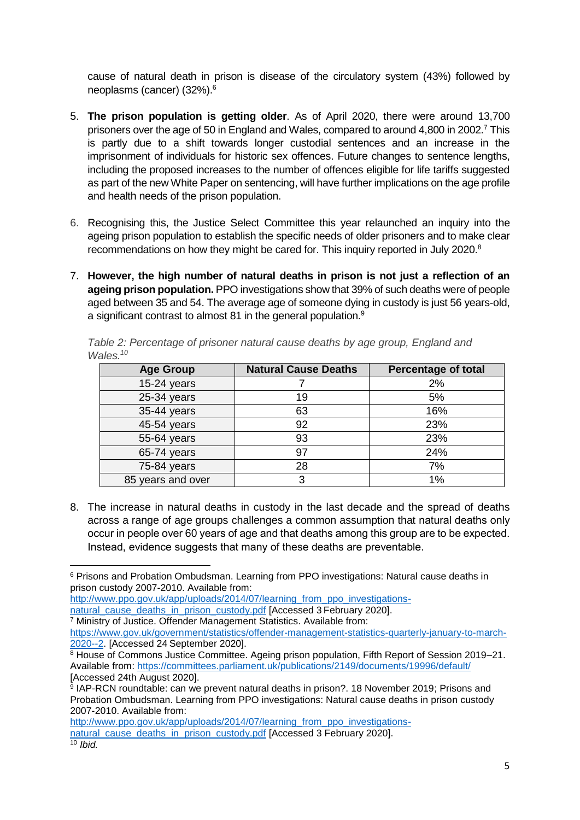cause of natural death in prison is disease of the circulatory system (43%) followed by neoplasms (cancer) (32%).<sup>6</sup>

- 5. **The prison population is getting older**. As of April 2020, there were around 13,700 prisoners over the age of 50 in England and Wales, compared to around 4,800 in 2002.<sup>7</sup> This is partly due to a shift towards longer custodial sentences and an increase in the imprisonment of individuals for historic sex offences. Future changes to sentence lengths, including the proposed increases to the number of offences eligible for life tariffs suggested as part of the new White Paper on sentencing, will have further implications on the age profile and health needs of the prison population.
- 6. Recognising this, the Justice Select Committee this year relaunched an inquiry into the ageing prison population to establish the specific needs of older prisoners and to make clear recommendations on how they might be cared for. This inquiry reported in July 2020.<sup>8</sup>
- 7. **However, the high number of natural deaths in prison is not just a reflection of an ageing prison population.** PPO investigations show that 39% of such deaths were of people aged between 35 and 54. The average age of someone dying in custody is just 56 years-old, a significant contrast to almost 81 in the general population.<sup>9</sup>

| <b>Age Group</b>  | <b>Natural Cause Deaths</b> | <b>Percentage of total</b> |
|-------------------|-----------------------------|----------------------------|
| 15-24 years       |                             | 2%                         |
| 25-34 years       | 19                          | 5%                         |
| 35-44 years       | 63                          | 16%                        |
| 45-54 years       | 92                          | 23%                        |
| 55-64 years       | 93                          | 23%                        |
| 65-74 years       | 97                          | 24%                        |
| 75-84 years       | 28                          | 7%                         |
| 85 years and over | 3                           | 1%                         |

*Table 2: Percentage of prisoner natural cause deaths by age group, England and Wales. 10*

8. The increase in natural deaths in custody in the last decade and the spread of deaths across a range of age groups challenges a common assumption that natural deaths only occur in people over 60 years of age and that deaths among this group are to be expected. Instead, evidence suggests that many of these deaths are preventable.

**<sup>.</sup>** <sup>6</sup> Prisons and Probation Ombudsman. Learning from PPO investigations: Natural cause deaths in prison custody 2007-2010. Available from:

[http://www.ppo.gov.uk/app/uploads/2014/07/learning\\_from\\_ppo\\_investigations](http://www.ppo.gov.uk/app/uploads/2014/07/learning_from_ppo_investigations-natural_cause_deaths_in_prison_custody.pdf)[natural\\_cause\\_deaths\\_in\\_prison\\_custody.pdf](http://www.ppo.gov.uk/app/uploads/2014/07/learning_from_ppo_investigations-natural_cause_deaths_in_prison_custody.pdf) [Accessed 3 February 2020].

<sup>7</sup> Ministry of Justice. Offender Management Statistics. Available from:

[https://www.gov.uk/government/statistics/offender-management-statistics-quarterly-january-to-march-](https://www.gov.uk/government/statistics/offender-management-statistics-quarterly-january-to-march-2020--2)[2020--2.](https://www.gov.uk/government/statistics/offender-management-statistics-quarterly-january-to-march-2020--2) [Accessed 24 September 2020].

<sup>8</sup> House of Commons Justice Committee. Ageing prison population, Fifth Report of Session 2019–21. Available from:<https://committees.parliament.uk/publications/2149/documents/19996/default/> [Accessed 24th August 2020].

<sup>9</sup> IAP-RCN roundtable: can we prevent natural deaths in prison?. 18 November 2019; Prisons and Probation Ombudsman. Learning from PPO investigations: Natural cause deaths in prison custody 2007-2010. Available from:

[http://www.ppo.gov.uk/app/uploads/2014/07/learning\\_from\\_ppo\\_investigations](http://www.ppo.gov.uk/app/uploads/2014/07/learning_from_ppo_investigations-natural_cause_deaths_in_prison_custody.pdf)[natural\\_cause\\_deaths\\_in\\_prison\\_custody.pdf](http://www.ppo.gov.uk/app/uploads/2014/07/learning_from_ppo_investigations-natural_cause_deaths_in_prison_custody.pdf) [Accessed 3 February 2020].

<sup>10</sup> *Ibid.*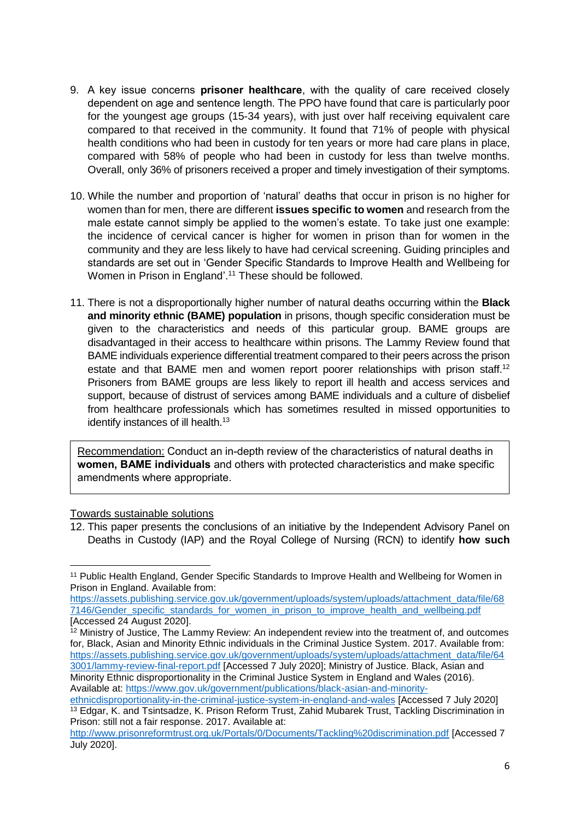- 9. A key issue concerns **prisoner healthcare**, with the quality of care received closely dependent on age and sentence length. The PPO have found that care is particularly poor for the youngest age groups (15-34 years), with just over half receiving equivalent care compared to that received in the community. It found that 71% of people with physical health conditions who had been in custody for ten years or more had care plans in place, compared with 58% of people who had been in custody for less than twelve months. Overall, only 36% of prisoners received a proper and timely investigation of their symptoms.
- 10. While the number and proportion of 'natural' deaths that occur in prison is no higher for women than for men, there are different **issues specific to women** and research from the male estate cannot simply be applied to the women's estate. To take just one example: the incidence of cervical cancer is higher for women in prison than for women in the community and they are less likely to have had cervical screening. Guiding principles and standards are set out in 'Gender Specific Standards to Improve Health and Wellbeing for Women in Prison in England'. <sup>11</sup> These should be followed.
- 11. There is not a disproportionally higher number of natural deaths occurring within the **Black and minority ethnic (BAME) population** in prisons, though specific consideration must be given to the characteristics and needs of this particular group. BAME groups are disadvantaged in their access to healthcare within prisons. The Lammy Review found that BAME individuals experience differential treatment compared to their peers across the prison estate and that BAME men and women report poorer relationships with prison staff.<sup>12</sup> Prisoners from BAME groups are less likely to report ill health and access services and support, because of distrust of services among BAME individuals and a culture of disbelief from healthcare professionals which has sometimes resulted in missed opportunities to identify instances of ill health.<sup>13</sup>

Recommendation: Conduct an in-depth review of the characteristics of natural deaths in **women, BAME individuals** and others with protected characteristics and make specific amendments where appropriate.

#### Towards sustainable solutions

<sup>12.</sup> This paper presents the conclusions of an initiative by the Independent Advisory Panel on Deaths in Custody (IAP) and the Royal College of Nursing (RCN) to identify **how such** 

**<sup>.</sup>** <sup>11</sup> Public Health England, Gender Specific Standards to Improve Health and Wellbeing for Women in Prison in England. Available from:

[https://assets.publishing.service.gov.uk/government/uploads/system/uploads/attachment\\_data/file/68](https://assets.publishing.service.gov.uk/government/uploads/system/uploads/attachment_data/file/687146/Gender_specific_standards_for_women_in_prison_to_improve_health_and_wellbeing.pdf) [7146/Gender\\_specific\\_standards\\_for\\_women\\_in\\_prison\\_to\\_improve\\_health\\_and\\_wellbeing.pdf](https://assets.publishing.service.gov.uk/government/uploads/system/uploads/attachment_data/file/687146/Gender_specific_standards_for_women_in_prison_to_improve_health_and_wellbeing.pdf) [Accessed 24 August 2020].

<sup>&</sup>lt;sup>12</sup> Ministry of Justice, The Lammy Review: An independent review into the treatment of, and outcomes for, Black, Asian and Minority Ethnic individuals in the Criminal Justice System. 2017. Available from: [https://assets.publishing.service.gov.uk/government/uploads/system/uploads/attachment\\_data/file/64](https://assets.publishing.service.gov.uk/government/uploads/system/uploads/attachment_data/file/643001/lammy-review-final-report.pdf) [3001/lammy-review-final-report.pdf](https://assets.publishing.service.gov.uk/government/uploads/system/uploads/attachment_data/file/643001/lammy-review-final-report.pdf) [Accessed 7 July 2020]; Ministry of Justice. Black, Asian and

Minority Ethnic disproportionality in the Criminal Justice System in England and Wales (2016). Available at: [https://www.gov.uk/government/publications/black-asian-and-minority-](https://www.gov.uk/government/publications/black-asian-and-minority-ethnicdisproportionality-in-the-criminal-justice-system-in-england-and-wales)

[ethnicdisproportionality-in-the-criminal-justice-system-in-england-and-wales](https://www.gov.uk/government/publications/black-asian-and-minority-ethnicdisproportionality-in-the-criminal-justice-system-in-england-and-wales) [Accessed 7 July 2020] <sup>13</sup> Edgar, K. and Tsintsadze, K. Prison Reform Trust, Zahid Mubarek Trust, Tackling Discrimination in Prison: still not a fair response. 2017. Available at:

<http://www.prisonreformtrust.org.uk/Portals/0/Documents/Tackling%20discrimination.pdf> [Accessed 7 July 2020].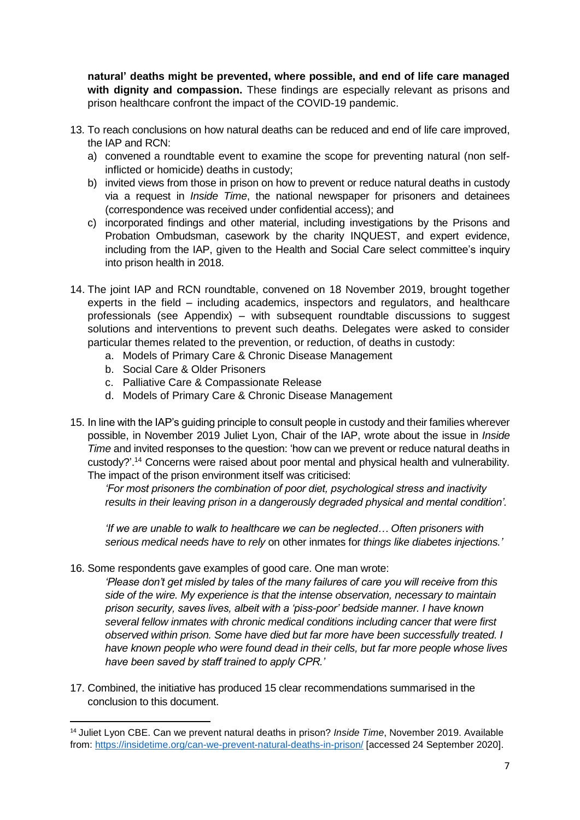**natural' deaths might be prevented, where possible, and end of life care managed with dignity and compassion.** These findings are especially relevant as prisons and prison healthcare confront the impact of the COVID-19 pandemic.

- 13. To reach conclusions on how natural deaths can be reduced and end of life care improved, the IAP and RCN:
	- a) convened a roundtable event to examine the scope for preventing natural (non selfinflicted or homicide) deaths in custody;
	- b) invited views from those in prison on how to prevent or reduce natural deaths in custody via a request in *Inside Time*, the national newspaper for prisoners and detainees (correspondence was received under confidential access); and
	- c) incorporated findings and other material, including investigations by the Prisons and Probation Ombudsman, casework by the charity INQUEST, and expert evidence, including from the IAP, given to the Health and Social Care select committee's inquiry into prison health in 2018.
- 14. The joint IAP and RCN roundtable, convened on 18 November 2019, brought together experts in the field – including academics, inspectors and regulators, and healthcare professionals (see Appendix) – with subsequent roundtable discussions to suggest solutions and interventions to prevent such deaths. Delegates were asked to consider particular themes related to the prevention, or reduction, of deaths in custody:
	- a. Models of Primary Care & Chronic Disease Management
	- b. Social Care & Older Prisoners

1

- c. Palliative Care & Compassionate Release
- d. Models of Primary Care & Chronic Disease Management
- 15. In line with the IAP's guiding principle to consult people in custody and their families wherever possible, in November 2019 Juliet Lyon, Chair of the IAP, wrote about the issue in *Inside Time* and invited responses to the question: 'how can we prevent or reduce natural deaths in custody?'.<sup>14</sup> Concerns were raised about poor mental and physical health and vulnerability. The impact of the prison environment itself was criticised:

*'For most prisoners the combination of poor diet, psychological stress and inactivity results in their leaving prison in a dangerously degraded physical and mental condition'.*

*'If we are unable to walk to healthcare we can be neglected… Often prisoners with serious medical needs have to rely* on other inmates for *things like diabetes injections.'*

16. Some respondents gave examples of good care. One man wrote:

*'Please don't get misled by tales of the many failures of care you will receive from this side of the wire. My experience is that the intense observation, necessary to maintain prison security, saves lives, albeit with a 'piss-poor' bedside manner. I have known several fellow inmates with chronic medical conditions including cancer that were first observed within prison. Some have died but far more have been successfully treated. I have known people who were found dead in their cells, but far more people whose lives have been saved by staff trained to apply CPR.'*

17. Combined, the initiative has produced 15 clear recommendations summarised in the conclusion to this document.

<sup>14</sup> Juliet Lyon CBE. Can we prevent natural deaths in prison? *Inside Time*, November 2019. Available from: <https://insidetime.org/can-we-prevent-natural-deaths-in-prison/> [accessed 24 September 2020].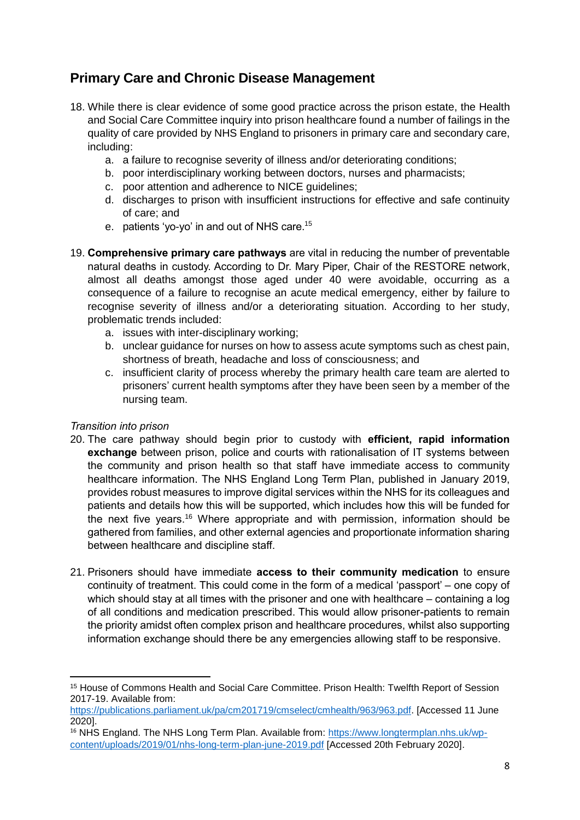### **Primary Care and Chronic Disease Management**

- 18. While there is clear evidence of some good practice across the prison estate, the Health and Social Care Committee inquiry into prison healthcare found a number of failings in the quality of care provided by NHS England to prisoners in primary care and secondary care, including:
	- a. a failure to recognise severity of illness and/or deteriorating conditions:
	- b. poor interdisciplinary working between doctors, nurses and pharmacists;
	- c. poor attention and adherence to NICE guidelines;
	- d. discharges to prison with insufficient instructions for effective and safe continuity of care; and
	- e. patients 'yo-yo' in and out of NHS care.<sup>15</sup>
- 19. **Comprehensive primary care pathways** are vital in reducing the number of preventable natural deaths in custody. According to Dr. Mary Piper, Chair of the RESTORE network, almost all deaths amongst those aged under 40 were avoidable, occurring as a consequence of a failure to recognise an acute medical emergency, either by failure to recognise severity of illness and/or a deteriorating situation. According to her study, problematic trends included:
	- a. issues with inter-disciplinary working;
	- b. unclear guidance for nurses on how to assess acute symptoms such as chest pain, shortness of breath, headache and loss of consciousness; and
	- c. insufficient clarity of process whereby the primary health care team are alerted to prisoners' current health symptoms after they have been seen by a member of the nursing team.

### *Transition into prison*

- 20. The care pathway should begin prior to custody with **efficient, rapid information exchange** between prison, police and courts with rationalisation of IT systems between the community and prison health so that staff have immediate access to community healthcare information. The NHS England Long Term Plan, published in January 2019, provides robust measures to improve digital services within the NHS for its colleagues and patients and details how this will be supported, which includes how this will be funded for the next five years.<sup>16</sup> Where appropriate and with permission, information should be gathered from families, and other external agencies and proportionate information sharing between healthcare and discipline staff.
- 21. Prisoners should have immediate **access to their community medication** to ensure continuity of treatment. This could come in the form of a medical 'passport' – one copy of which should stay at all times with the prisoner and one with healthcare – containing a log of all conditions and medication prescribed. This would allow prisoner-patients to remain the priority amidst often complex prison and healthcare procedures, whilst also supporting information exchange should there be any emergencies allowing staff to be responsive.

<sup>15</sup> House of Commons Health and Social Care Committee. Prison Health: Twelfth Report of Session 2017-19. Available from:

[https://publications.parliament.uk/pa/cm201719/cmselect/cmhealth/963/963.pdf.](https://publications.parliament.uk/pa/cm201719/cmselect/cmhealth/963/963.pdf) [Accessed 11 June 2020].

<sup>&</sup>lt;sup>16</sup> NHS England. The NHS Long Term Plan. Available from: [https://www.longtermplan.nhs.uk/wp](https://www.longtermplan.nhs.uk/wp-content/uploads/2019/01/nhs-long-term-plan-june-2019.pdf)[content/uploads/2019/01/nhs-long-term-plan-june-2019.pdf](https://www.longtermplan.nhs.uk/wp-content/uploads/2019/01/nhs-long-term-plan-june-2019.pdf) [Accessed 20th February 2020].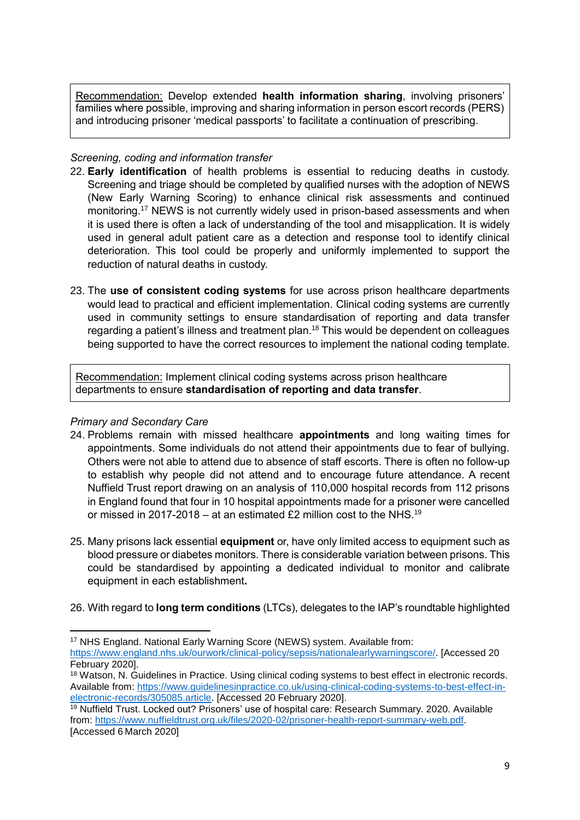Recommendation: Develop extended **health information sharing**, involving prisoners' families where possible, improving and sharing information in person escort records (PERS) and introducing prisoner 'medical passports' to facilitate a continuation of prescribing.

#### *Screening, coding and information transfer*

- 22. **Early identification** of health problems is essential to reducing deaths in custody. Screening and triage should be completed by qualified nurses with the adoption of NEWS (New Early Warning Scoring) to enhance clinical risk assessments and continued monitoring.<sup>17</sup> NEWS is not currently widely used in prison-based assessments and when it is used there is often a lack of understanding of the tool and misapplication. It is widely used in general adult patient care as a detection and response tool to identify clinical deterioration. This tool could be properly and uniformly implemented to support the reduction of natural deaths in custody.
- 23. The **use of consistent coding systems** for use across prison healthcare departments would lead to practical and efficient implementation. Clinical coding systems are currently used in community settings to ensure standardisation of reporting and data transfer regarding a patient's illness and treatment plan.<sup>18</sup> This would be dependent on colleagues being supported to have the correct resources to implement the national coding template.

Recommendation: Implement clinical coding systems across prison healthcare departments to ensure **standardisation of reporting and data transfer**.

#### *Primary and Secondary Care*

- 24. Problems remain with missed healthcare **appointments** and long waiting times for appointments. Some individuals do not attend their appointments due to fear of bullying. Others were not able to attend due to absence of staff escorts. There is often no follow-up to establish why people did not attend and to encourage future attendance. A recent Nuffield Trust report drawing on an analysis of 110,000 hospital records from 112 prisons in England found that four in 10 hospital appointments made for a prisoner were cancelled or missed in 2017-2018 – at an estimated £2 million cost to the NHS.<sup>19</sup>
- 25. Many prisons lack essential **equipment** or, have only limited access to equipment such as blood pressure or diabetes monitors. There is considerable variation between prisons. This could be standardised by appointing a dedicated individual to monitor and calibrate equipment in each establishment**.**
- 26. With regard to **long term conditions** (LTCs), delegates to the IAP's roundtable highlighted

<sup>17</sup> NHS England. National Early Warning Score (NEWS) system. Available from: [https://www.england.nhs.uk/ourwork/clinical-policy/sepsis/nationalearlywarningscore/.](https://www.england.nhs.uk/ourwork/clinical-policy/sepsis/nationalearlywarningscore/) [Accessed 20 February 2020].

<sup>&</sup>lt;sup>18</sup> Watson, N. Guidelines in Practice. Using clinical coding systems to best effect in electronic records. Available from: [https://www.guidelinesinpractice.co.uk/using-clinical-coding-systems-to-best-effect-in](https://www.guidelinesinpractice.co.uk/using-clinical-coding-systems-to-best-effect-in-electronic-records/305085.article)[electronic-records/305085.article.](https://www.guidelinesinpractice.co.uk/using-clinical-coding-systems-to-best-effect-in-electronic-records/305085.article) [Accessed 20 February 2020].

<sup>19</sup> Nuffield Trust. Locked out? Prisoners' use of hospital care: Research Summary. 2020. Available from: [https://www.nuffieldtrust.org.uk/files/2020-02/prisoner-health-report-summary-web.pdf.](https://www.nuffieldtrust.org.uk/files/2020-02/prisoner-health-report-summary-web.pdf) [Accessed 6 March 2020]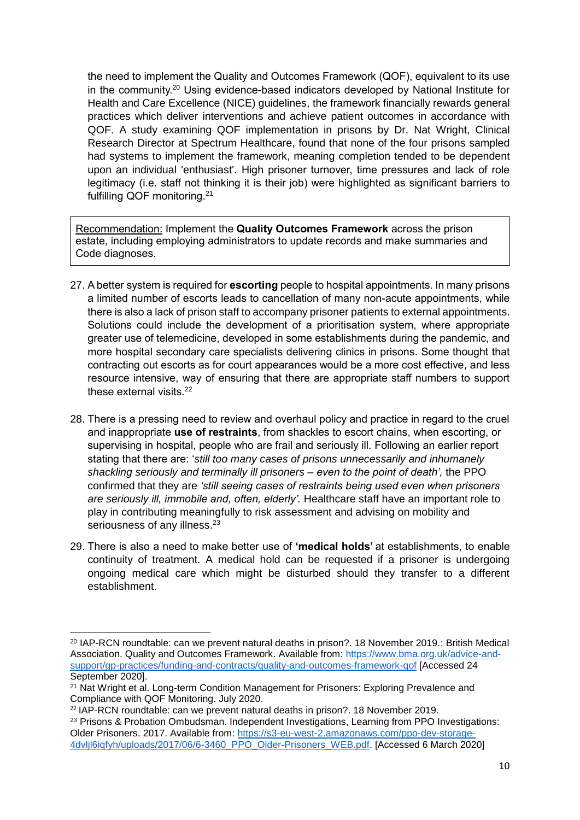the need to implement the Quality and Outcomes Framework (QOF), equivalent to its use in the community.<sup>20</sup> Using evidence-based indicators developed by National Institute for Health and Care Excellence (NICE) guidelines, the framework financially rewards general practices which deliver interventions and achieve patient outcomes in accordance with QOF. A study examining QOF implementation in prisons by Dr. Nat Wright, Clinical Research Director at Spectrum Healthcare, found that none of the four prisons sampled had systems to implement the framework, meaning completion tended to be dependent upon an individual 'enthusiast'. High prisoner turnover, time pressures and lack of role legitimacy (i.e. staff not thinking it is their job) were highlighted as significant barriers to fulfilling QOF monitoring.<sup>21</sup>

Recommendation: Implement the **Quality Outcomes Framework** across the prison estate, including employing administrators to update records and make summaries and Code diagnoses.

- 27. A better system is required for **escorting** people to hospital appointments. In many prisons a limited number of escorts leads to cancellation of many non-acute appointments, while there is also a lack of prison staff to accompany prisoner patients to external appointments. Solutions could include the development of a prioritisation system, where appropriate greater use of telemedicine, developed in some establishments during the pandemic, and more hospital secondary care specialists delivering clinics in prisons. Some thought that contracting out escorts as for court appearances would be a more cost effective, and less resource intensive, way of ensuring that there are appropriate staff numbers to support these external visits.<sup>22</sup>
- 28. There is a pressing need to review and overhaul policy and practice in regard to the cruel and inappropriate **use of restraints**, from shackles to escort chains, when escorting, or supervising in hospital, people who are frail and seriously ill. Following an earlier report stating that there are: '*still too many cases of prisons unnecessarily and inhumanely shackling seriously and terminally ill prisoners – even to the point of death',* the PPO confirmed that they are *'still seeing cases of restraints being used even when prisoners are seriously ill, immobile and, often, elderly'.* Healthcare staff have an important role to play in contributing meaningfully to risk assessment and advising on mobility and seriousness of any illness.<sup>23</sup>
- 29. There is also a need to make better use of **'medical holds'** at establishments, to enable continuity of treatment. A medical hold can be requested if a prisoner is undergoing ongoing medical care which might be disturbed should they transfer to a different establishment.

**<sup>.</sup>** <sup>20</sup> IAP-RCN roundtable: can we prevent natural deaths in prison?. 18 November 2019.; British Medical Association. Quality and Outcomes Framework. Available from: [https://www.bma.org.uk/advice-and](https://www.bma.org.uk/advice-and-support/gp-practices/funding-and-contracts/quality-and-outcomes-framework-qof)[support/gp-practices/funding-and-contracts/quality-and-outcomes-framework-qof](https://www.bma.org.uk/advice-and-support/gp-practices/funding-and-contracts/quality-and-outcomes-framework-qof) [Accessed 24 September 2020].

<sup>&</sup>lt;sup>21</sup> Nat Wright et al. Long-term Condition Management for Prisoners: Exploring Prevalence and Compliance with QOF Monitoring. July 2020.

 $22$  IAP-RCN roundtable: can we prevent natural deaths in prison?. 18 November 2019.

<sup>&</sup>lt;sup>23</sup> Prisons & Probation Ombudsman. Independent Investigations, Learning from PPO Investigations: Older Prisoners. 2017. Available from[: https://s3-eu-west-2.amazonaws.com/ppo-dev-storage-](https://s3-eu-west-2.amazonaws.com/ppo-dev-storage-4dvljl6iqfyh/uploads/2017/06/6-3460_PPO_Older-Prisoners_WEB.pdf)[4dvljl6iqfyh/uploads/2017/06/6-3460\\_PPO\\_Older-Prisoners\\_WEB.pdf.](https://s3-eu-west-2.amazonaws.com/ppo-dev-storage-4dvljl6iqfyh/uploads/2017/06/6-3460_PPO_Older-Prisoners_WEB.pdf) [Accessed 6 March 2020]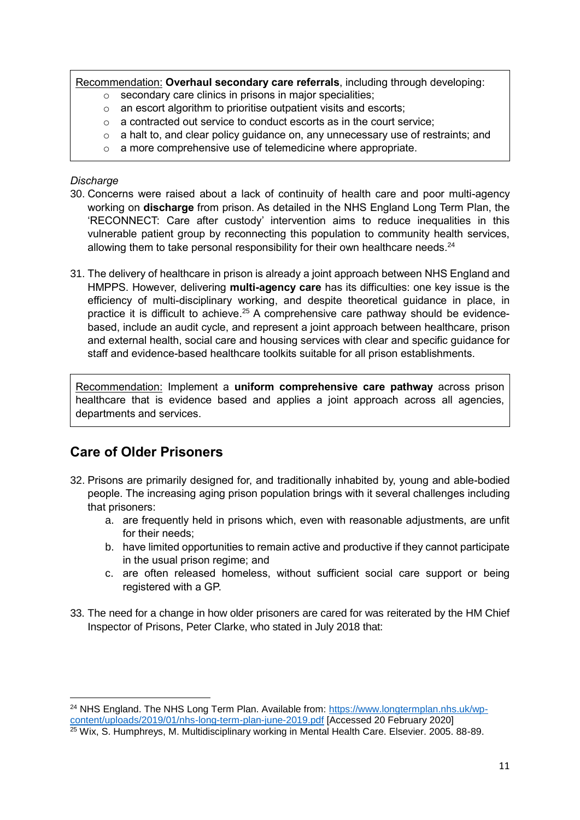Recommendation: **Overhaul secondary care referrals**, including through developing:

- o secondary care clinics in prisons in major specialities;
- $\circ$  an escort algorithm to prioritise outpatient visits and escorts;
- $\circ$  a contracted out service to conduct escorts as in the court service;
- $\circ$  a halt to, and clear policy quidance on, any unnecessary use of restraints; and
- o a more comprehensive use of telemedicine where appropriate.

#### *Discharge*

- 30. Concerns were raised about a lack of continuity of health care and poor multi-agency working on **discharge** from prison. As detailed in the NHS England Long Term Plan, the 'RECONNECT: Care after custody' intervention aims to reduce inequalities in this vulnerable patient group by reconnecting this population to community health services, allowing them to take personal responsibility for their own healthcare needs. $24$
- 31. The delivery of healthcare in prison is already a joint approach between NHS England and HMPPS. However, delivering **multi-agency care** has its difficulties: one key issue is the efficiency of multi-disciplinary working, and despite theoretical guidance in place, in practice it is difficult to achieve.<sup>25</sup> A comprehensive care pathway should be evidencebased, include an audit cycle, and represent a joint approach between healthcare, prison and external health, social care and housing services with clear and specific guidance for staff and evidence-based healthcare toolkits suitable for all prison establishments.

Recommendation: Implement a **uniform comprehensive care pathway** across prison healthcare that is evidence based and applies a joint approach across all agencies, departments and services.

### **Care of Older Prisoners**

- 32. Prisons are primarily designed for, and traditionally inhabited by, young and able-bodied people. The increasing aging prison population brings with it several challenges including that prisoners:
	- a. are frequently held in prisons which, even with reasonable adjustments, are unfit for their needs;
	- b. have limited opportunities to remain active and productive if they cannot participate in the usual prison regime; and
	- c. are often released homeless, without sufficient social care support or being registered with a GP.
- 33. The need for a change in how older prisoners are cared for was reiterated by the HM Chief Inspector of Prisons, Peter Clarke, who stated in July 2018 that:

<sup>&</sup>lt;sup>24</sup> NHS England. The NHS Long Term Plan. Available from: [https://www.longtermplan.nhs.uk/wp](https://www.longtermplan.nhs.uk/wp-content/uploads/2019/01/nhs-long-term-plan-june-2019.pdf)[content/uploads/2019/01/nhs-long-term-plan-june-2019.pdf](https://www.longtermplan.nhs.uk/wp-content/uploads/2019/01/nhs-long-term-plan-june-2019.pdf) [Accessed 20 February 2020] <sup>25</sup> Wix, S. Humphreys, M. Multidisciplinary working in Mental Health Care. Elsevier. 2005. 88-89.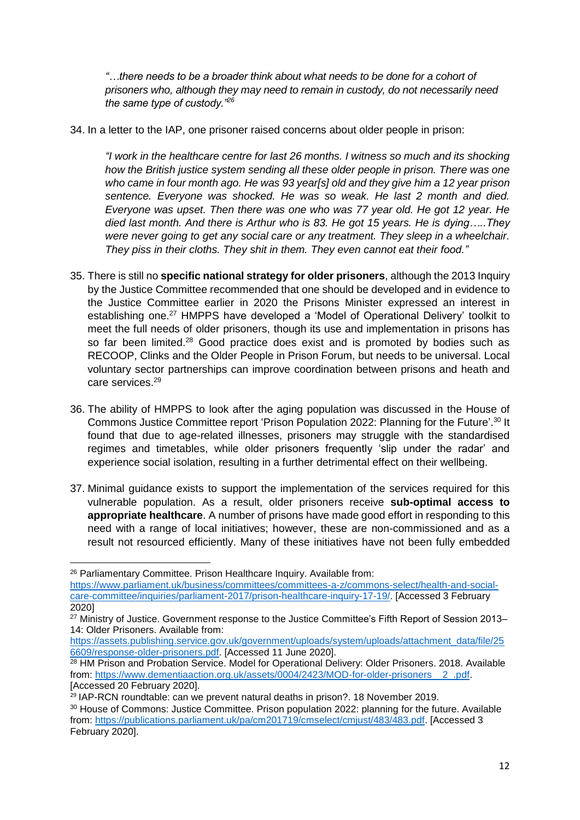*"…there needs to be a broader think about what needs to be done for a cohort of prisoners who, although they may need to remain in custody, do not necessarily need the same type of custody."<sup>26</sup>*

34. In a letter to the IAP, one prisoner raised concerns about older people in prison:

*"I work in the healthcare centre for last 26 months. I witness so much and its shocking how the British justice system sending all these older people in prison. There was one who came in four month ago. He was 93 year[s] old and they give him a 12 year prison sentence. Everyone was shocked. He was so weak. He last 2 month and died. Everyone was upset. Then there was one who was 77 year old. He got 12 year. He died last month. And there is Arthur who is 83. He got 15 years. He is dying…..They were never going to get any social care or any treatment. They sleep in a wheelchair. They piss in their cloths. They shit in them. They even cannot eat their food."*

- 35. There is still no **specific national strategy for older prisoners**, although the 2013 Inquiry by the Justice Committee recommended that one should be developed and in evidence to the Justice Committee earlier in 2020 the Prisons Minister expressed an interest in establishing one.<sup>27</sup> HMPPS have developed a 'Model of Operational Delivery' toolkit to meet the full needs of older prisoners, though its use and implementation in prisons has so far been limited.<sup>28</sup> Good practice does exist and is promoted by bodies such as RECOOP, Clinks and the Older People in Prison Forum, but needs to be universal. Local voluntary sector partnerships can improve coordination between prisons and heath and care services.<sup>29</sup>
- 36. The ability of HMPPS to look after the aging population was discussed in the House of Commons Justice Committee report 'Prison Population 2022: Planning for the Future'. <sup>30</sup> It found that due to age-related illnesses, prisoners may struggle with the standardised regimes and timetables, while older prisoners frequently 'slip under the radar' and experience social isolation, resulting in a further detrimental effect on their wellbeing.
- 37. Minimal guidance exists to support the implementation of the services required for this vulnerable population. As a result, older prisoners receive **sub-optimal access to appropriate healthcare**. A number of prisons have made good effort in responding to this need with a range of local initiatives; however, these are non-commissioned and as a result not resourced efficiently. Many of these initiatives have not been fully embedded

**<sup>.</sup>** <sup>26</sup> Parliamentary Committee. Prison Healthcare Inquiry. Available from:

[https://www.parliament.uk/business/committees/committees-a-z/commons-select/health-and-social](https://www.parliament.uk/business/committees/committees-a-z/commons-select/health-and-social-care-committee/inquiries/parliament-2017/prison-healthcare-inquiry-17-19/)[care-committee/inquiries/parliament-2017/prison-healthcare-inquiry-17-19/.](https://www.parliament.uk/business/committees/committees-a-z/commons-select/health-and-social-care-committee/inquiries/parliament-2017/prison-healthcare-inquiry-17-19/) [Accessed 3 February 2020]

<sup>&</sup>lt;sup>27</sup> Ministry of Justice. Government response to the Justice Committee's Fifth Report of Session 2013– 14: Older Prisoners. Available from:

[https://assets.publishing.service.gov.uk/government/uploads/system/uploads/attachment\\_data/file/25](https://assets.publishing.service.gov.uk/government/uploads/system/uploads/attachment_data/file/256609/response-older-prisoners.pdf) [6609/response-older-prisoners.pdf.](https://assets.publishing.service.gov.uk/government/uploads/system/uploads/attachment_data/file/256609/response-older-prisoners.pdf) [Accessed 11 June 2020].

<sup>&</sup>lt;sup>28</sup> HM Prison and Probation Service. Model for Operational Delivery: Older Prisoners. 2018. Available from: [https://www.dementiaaction.org.uk/assets/0004/2423/MOD-for-older-prisoners\\_\\_2\\_.pdf.](https://www.dementiaaction.org.uk/assets/0004/2423/MOD-for-older-prisoners__2_.pdf) [Accessed 20 February 2020].

<sup>29</sup> IAP-RCN roundtable: can we prevent natural deaths in prison?. 18 November 2019.

<sup>30</sup> House of Commons: Justice Committee. Prison population 2022: planning for the future. Available from: [https://publications.parliament.uk/pa/cm201719/cmselect/cmjust/483/483.pdf.](https://publications.parliament.uk/pa/cm201719/cmselect/cmjust/483/483.pdf) [Accessed 3 February 2020].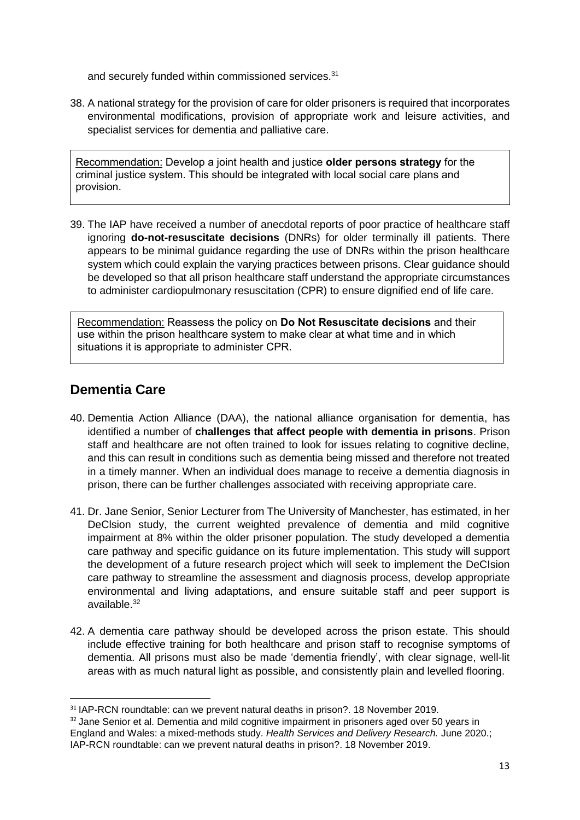and securely funded within commissioned services.<sup>31</sup>

38. A national strategy for the provision of care for older prisoners is required that incorporates environmental modifications, provision of appropriate work and leisure activities, and specialist services for dementia and palliative care.

Recommendation: Develop a joint health and justice **older persons strategy** for the criminal justice system. This should be integrated with local social care plans and provision.

39. The IAP have received a number of anecdotal reports of poor practice of healthcare staff ignoring **do-not-resuscitate decisions** (DNRs) for older terminally ill patients. There appears to be minimal guidance regarding the use of DNRs within the prison healthcare system which could explain the varying practices between prisons. Clear guidance should be developed so that all prison healthcare staff understand the appropriate circumstances to administer cardiopulmonary resuscitation (CPR) to ensure dignified end of life care.

Recommendation: Reassess the policy on **Do Not Resuscitate decisions** and their use within the prison healthcare system to make clear at what time and in which situations it is appropriate to administer CPR.

### **Dementia Care**

1

- 40. Dementia Action Alliance (DAA), the national alliance organisation for dementia, has identified a number of **challenges that affect people with dementia in prisons**. Prison staff and healthcare are not often trained to look for issues relating to cognitive decline, and this can result in conditions such as dementia being missed and therefore not treated in a timely manner. When an individual does manage to receive a dementia diagnosis in prison, there can be further challenges associated with receiving appropriate care.
- 41. Dr. Jane Senior, Senior Lecturer from The University of Manchester, has estimated, in her DeClsion study, the current weighted prevalence of dementia and mild cognitive impairment at 8% within the older prisoner population. The study developed a dementia care pathway and specific guidance on its future implementation. This study will support the development of a future research project which will seek to implement the DeCIsion care pathway to streamline the assessment and diagnosis process, develop appropriate environmental and living adaptations, and ensure suitable staff and peer support is available. 32
- 42. A dementia care pathway should be developed across the prison estate. This should include effective training for both healthcare and prison staff to recognise symptoms of dementia. All prisons must also be made 'dementia friendly', with clear signage, well-lit areas with as much natural light as possible, and consistently plain and levelled flooring.

<sup>31</sup> IAP-RCN roundtable: can we prevent natural deaths in prison?. 18 November 2019.

<sup>&</sup>lt;sup>32</sup> Jane Senior et al. Dementia and mild cognitive impairment in prisoners aged over 50 years in England and Wales: a mixed-methods study. *Health Services and Delivery Research.* June 2020.; IAP-RCN roundtable: can we prevent natural deaths in prison?. 18 November 2019.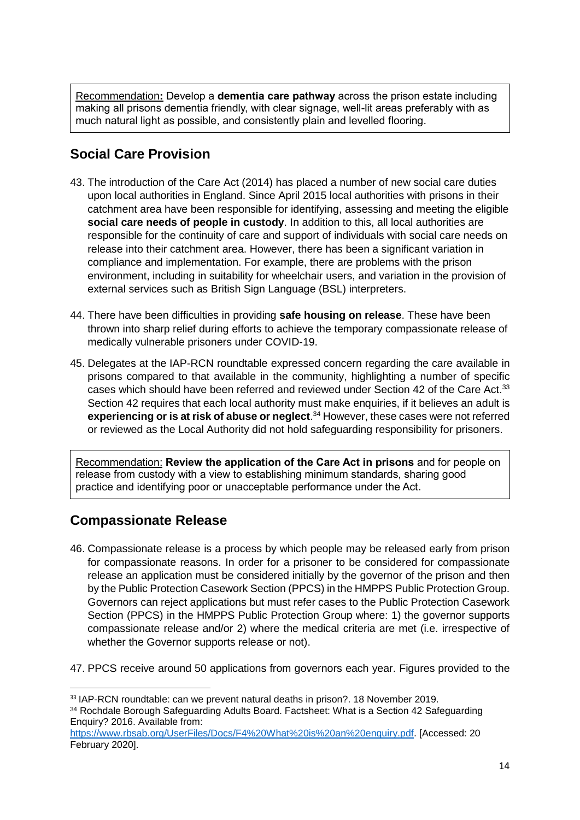Recommendation**:** Develop a **dementia care pathway** across the prison estate including making all prisons dementia friendly, with clear signage, well-lit areas preferably with as much natural light as possible, and consistently plain and levelled flooring.

# **Social Care Provision**

- 43. The introduction of the Care Act (2014) has placed a number of new social care duties upon local authorities in England. Since April 2015 local authorities with prisons in their catchment area have been responsible for identifying, assessing and meeting the eligible **social care needs of people in custody**. In addition to this, all local authorities are responsible for the continuity of care and support of individuals with social care needs on release into their catchment area. However, there has been a significant variation in compliance and implementation. For example, there are problems with the prison environment, including in suitability for wheelchair users, and variation in the provision of external services such as British Sign Language (BSL) interpreters.
- 44. There have been difficulties in providing **safe housing on release**. These have been thrown into sharp relief during efforts to achieve the temporary compassionate release of medically vulnerable prisoners under COVID-19.
- 45. Delegates at the IAP-RCN roundtable expressed concern regarding the care available in prisons compared to that available in the community, highlighting a number of specific cases which should have been referred and reviewed under Section 42 of the Care Act.<sup>33</sup> Section 42 requires that each local authority must make enquiries, if it believes an adult is **experiencing or is at risk of abuse or neglect**. <sup>34</sup> However, these cases were not referred or reviewed as the Local Authority did not hold safeguarding responsibility for prisoners.

Recommendation: **Review the application of the Care Act in prisons** and for people on release from custody with a view to establishing minimum standards, sharing good practice and identifying poor or unacceptable performance under the Act.

## **Compassionate Release**

- 46. Compassionate release is a process by which people may be released early from prison for compassionate reasons. In order for a prisoner to be considered for compassionate release an application must be considered initially by the governor of the prison and then by the Public Protection Casework Section (PPCS) in the HMPPS Public Protection Group. Governors can reject applications but must refer cases to the Public Protection Casework Section (PPCS) in the HMPPS Public Protection Group where: 1) the governor supports compassionate release and/or 2) where the medical criteria are met (i.e. irrespective of whether the Governor supports release or not).
- 47. PPCS receive around 50 applications from governors each year. Figures provided to the

 $\overline{a}$ <sup>33</sup> IAP-RCN roundtable: can we prevent natural deaths in prison?. 18 November 2019.

<sup>34</sup> Rochdale Borough Safeguarding Adults Board. Factsheet: What is a Section 42 Safeguarding Enquiry? 2016. Available from:

[https://www.rbsab.org/UserFiles/Docs/F4%20What%20is%20an%20enquiry.pdf.](https://www.rbsab.org/UserFiles/Docs/F4%20What%20is%20an%20enquiry.pdf) [Accessed: 20 February 2020].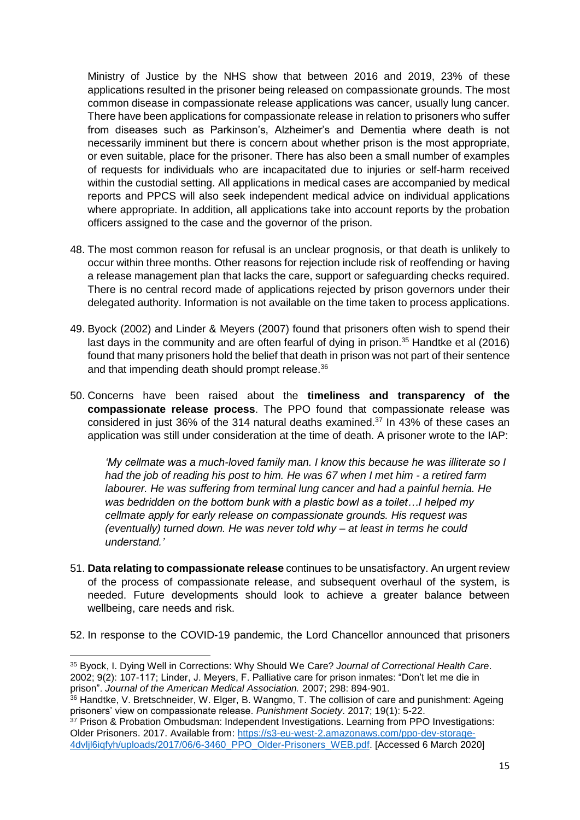Ministry of Justice by the NHS show that between 2016 and 2019, 23% of these applications resulted in the prisoner being released on compassionate grounds. The most common disease in compassionate release applications was cancer, usually lung cancer. There have been applications for compassionate release in relation to prisoners who suffer from diseases such as Parkinson's, Alzheimer's and Dementia where death is not necessarily imminent but there is concern about whether prison is the most appropriate, or even suitable, place for the prisoner. There has also been a small number of examples of requests for individuals who are incapacitated due to injuries or self-harm received within the custodial setting. All applications in medical cases are accompanied by medical reports and PPCS will also seek independent medical advice on individual applications where appropriate. In addition, all applications take into account reports by the probation officers assigned to the case and the governor of the prison.

- 48. The most common reason for refusal is an unclear prognosis, or that death is unlikely to occur within three months. Other reasons for rejection include risk of reoffending or having a release management plan that lacks the care, support or safeguarding checks required. There is no central record made of applications rejected by prison governors under their delegated authority. Information is not available on the time taken to process applications.
- 49. Byock (2002) and Linder & Meyers (2007) found that prisoners often wish to spend their last days in the community and are often fearful of dying in prison. <sup>35</sup> Handtke et al (2016) found that many prisoners hold the belief that death in prison was not part of their sentence and that impending death should prompt release.<sup>36</sup>
- 50. Concerns have been raised about the **timeliness and transparency of the compassionate release process**. The PPO found that compassionate release was considered in just 36% of the 314 natural deaths examined.<sup>37</sup> In 43% of these cases an application was still under consideration at the time of death. A prisoner wrote to the IAP:

*'My cellmate was a much-loved family man. I know this because he was illiterate so I had the job of reading his post to him. He was 67 when I met him - a retired farm labourer. He was suffering from terminal lung cancer and had a painful hernia. He was bedridden on the bottom bunk with a plastic bowl as a toilet…I helped my cellmate apply for early release on compassionate grounds. His request was (eventually) turned down. He was never told why – at least in terms he could understand.'*

51. **Data relating to compassionate release** continues to be unsatisfactory. An urgent review of the process of compassionate release, and subsequent overhaul of the system, is needed. Future developments should look to achieve a greater balance between wellbeing, care needs and risk.

52. In response to the COVID-19 pandemic, the Lord Chancellor announced that prisoners

1

<sup>35</sup> Byock, I. Dying Well in Corrections: Why Should We Care? *Journal of Correctional Health Care*. 2002; 9(2): 107-117; Linder, J. Meyers, F. Palliative care for prison inmates: "Don't let me die in prison". *Journal of the American Medical Association.* 2007; 298: 894-901.

<sup>36</sup> Handtke, V. Bretschneider, W. Elger, B. Wangmo, T. The collision of care and punishment: Ageing prisoners' view on compassionate release. *Punishment Society*. 2017; 19(1): 5-22.

<sup>&</sup>lt;sup>37</sup> Prison & Probation Ombudsman: Independent Investigations. Learning from PPO Investigations: Older Prisoners. 2017. Available from[: https://s3-eu-west-2.amazonaws.com/ppo-dev-storage-](https://s3-eu-west-2.amazonaws.com/ppo-dev-storage-4dvljl6iqfyh/uploads/2017/06/6-3460_PPO_Older-Prisoners_WEB.pdf)[4dvljl6iqfyh/uploads/2017/06/6-3460\\_PPO\\_Older-Prisoners\\_WEB.pdf.](https://s3-eu-west-2.amazonaws.com/ppo-dev-storage-4dvljl6iqfyh/uploads/2017/06/6-3460_PPO_Older-Prisoners_WEB.pdf) [Accessed 6 March 2020]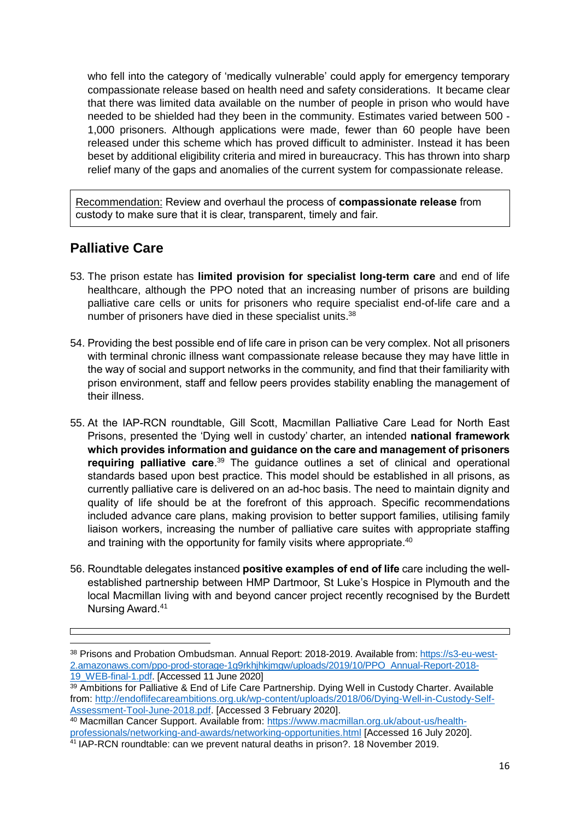who fell into the category of 'medically vulnerable' could apply for emergency temporary compassionate release based on health need and safety considerations. It became clear that there was limited data available on the number of people in prison who would have needed to be shielded had they been in the community. Estimates varied between 500 - 1,000 prisoners. Although applications were made, fewer than 60 people have been released under this scheme which has proved difficult to administer. Instead it has been beset by additional eligibility criteria and mired in bureaucracy. This has thrown into sharp relief many of the gaps and anomalies of the current system for compassionate release.

Recommendation: Review and overhaul the process of **compassionate release** from custody to make sure that it is clear, transparent, timely and fair.

### **Palliative Care**

- 53. The prison estate has **limited provision for specialist long-term care** and end of life healthcare, although the PPO noted that an increasing number of prisons are building palliative care cells or units for prisoners who require specialist end-of-life care and a number of prisoners have died in these specialist units.<sup>38</sup>
- 54. Providing the best possible end of life care in prison can be very complex. Not all prisoners with terminal chronic illness want compassionate release because they may have little in the way of social and support networks in the community, and find that their familiarity with prison environment, staff and fellow peers provides stability enabling the management of their illness.
- 55. At the IAP-RCN roundtable, Gill Scott, Macmillan Palliative Care Lead for North East Prisons, presented the 'Dying well in custody' charter, an intended **national framework which provides information and guidance on the care and management of prisoners requiring palliative care**. <sup>39</sup> The guidance outlines a set of clinical and operational standards based upon best practice. This model should be established in all prisons, as currently palliative care is delivered on an ad-hoc basis. The need to maintain dignity and quality of life should be at the forefront of this approach. Specific recommendations included advance care plans, making provision to better support families, utilising family liaison workers, increasing the number of palliative care suites with appropriate staffing and training with the opportunity for family visits where appropriate.<sup>40</sup>
- 56. Roundtable delegates instanced **positive examples of end of life** care including the wellestablished partnership between HMP Dartmoor, St Luke's Hospice in Plymouth and the local Macmillan living with and beyond cancer project recently recognised by the Burdett Nursing Award.<sup>41</sup>

<sup>38</sup> Prisons and Probation Ombudsman. Annual Report: 2018-2019. Available from: [https://s3-eu-west-](https://s3-eu-west-2.amazonaws.com/ppo-prod-storage-1g9rkhjhkjmgw/uploads/2019/10/PPO_Annual-Report-2018-19_WEB-final-1.pdf)[2.amazonaws.com/ppo-prod-storage-1g9rkhjhkjmgw/uploads/2019/10/PPO\\_Annual-Report-2018-](https://s3-eu-west-2.amazonaws.com/ppo-prod-storage-1g9rkhjhkjmgw/uploads/2019/10/PPO_Annual-Report-2018-19_WEB-final-1.pdf) [19\\_WEB-final-1.pdf.](https://s3-eu-west-2.amazonaws.com/ppo-prod-storage-1g9rkhjhkjmgw/uploads/2019/10/PPO_Annual-Report-2018-19_WEB-final-1.pdf) [Accessed 11 June 2020]

<sup>39</sup> Ambitions for Palliative & End of Life Care Partnership. Dying Well in Custody Charter. Available from: [http://endoflifecareambitions.org.uk/wp-content/uploads/2018/06/Dying-Well-in-Custody-Self-](http://endoflifecareambitions.org.uk/wp-content/uploads/2018/06/Dying-Well-in-Custody-Self-Assessment-Tool-June-2018.pdf)[Assessment-Tool-June-2018.pdf.](http://endoflifecareambitions.org.uk/wp-content/uploads/2018/06/Dying-Well-in-Custody-Self-Assessment-Tool-June-2018.pdf) [Accessed 3 February 2020].

<sup>40</sup> Macmillan Cancer Support. Available from: [https://www.macmillan.org.uk/about-us/health](https://www.macmillan.org.uk/about-us/health-professionals/networking-and-awards/networking-opportunities.html)[professionals/networking-and-awards/networking-opportunities.html](https://www.macmillan.org.uk/about-us/health-professionals/networking-and-awards/networking-opportunities.html) [Accessed 16 July 2020].

<sup>&</sup>lt;sup>41</sup> IAP-RCN roundtable: can we prevent natural deaths in prison?. 18 November 2019.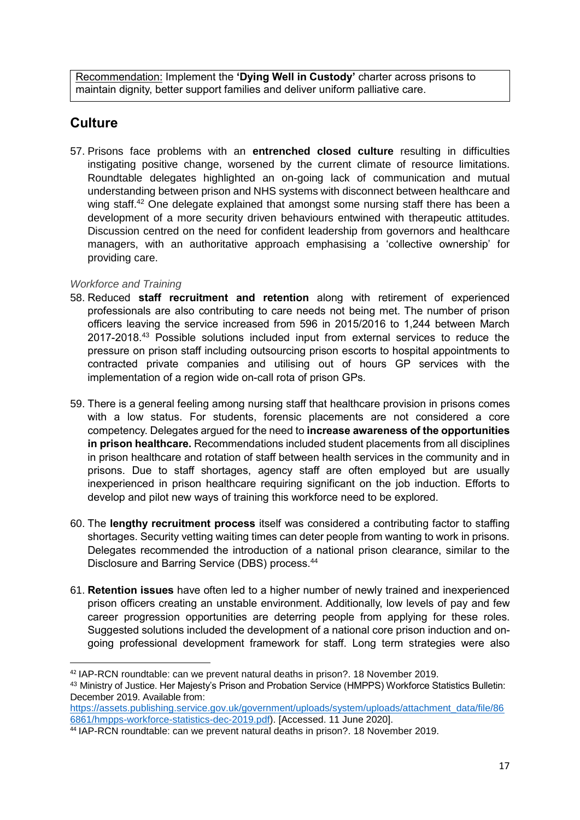Recommendation: Implement the **'Dying Well in Custody'** charter across prisons to maintain dignity, better support families and deliver uniform palliative care.

# **Culture**

57. Prisons face problems with an **entrenched closed culture** resulting in difficulties instigating positive change, worsened by the current climate of resource limitations. Roundtable delegates highlighted an on-going lack of communication and mutual understanding between prison and NHS systems with disconnect between healthcare and wing staff.<sup>42</sup> One delegate explained that amongst some nursing staff there has been a development of a more security driven behaviours entwined with therapeutic attitudes. Discussion centred on the need for confident leadership from governors and healthcare managers, with an authoritative approach emphasising a 'collective ownership' for providing care.

### *Workforce and Training*

- 58. Reduced **staff recruitment and retention** along with retirement of experienced professionals are also contributing to care needs not being met. The number of prison officers leaving the service increased from 596 in 2015/2016 to 1,244 between March 2017-2018.<sup>43</sup> Possible solutions included input from external services to reduce the pressure on prison staff including outsourcing prison escorts to hospital appointments to contracted private companies and utilising out of hours GP services with the implementation of a region wide on-call rota of prison GPs.
- 59. There is a general feeling among nursing staff that healthcare provision in prisons comes with a low status. For students, forensic placements are not considered a core competency. Delegates argued for the need to **increase awareness of the opportunities in prison healthcare.** Recommendations included student placements from all disciplines in prison healthcare and rotation of staff between health services in the community and in prisons. Due to staff shortages, agency staff are often employed but are usually inexperienced in prison healthcare requiring significant on the job induction. Efforts to develop and pilot new ways of training this workforce need to be explored.
- 60. The **lengthy recruitment process** itself was considered a contributing factor to staffing shortages. Security vetting waiting times can deter people from wanting to work in prisons. Delegates recommended the introduction of a national prison clearance, similar to the Disclosure and Barring Service (DBS) process.<sup>44</sup>
- 61. **Retention issues** have often led to a higher number of newly trained and inexperienced prison officers creating an unstable environment. Additionally, low levels of pay and few career progression opportunities are deterring people from applying for these roles. Suggested solutions included the development of a national core prison induction and ongoing professional development framework for staff. Long term strategies were also

[https://assets.publishing.service.gov.uk/government/uploads/system/uploads/attachment\\_data/file/86](https://assets.publishing.service.gov.uk/government/uploads/system/uploads/attachment_data/file/866861/hmpps-workforce-statistics-dec-2019.pdf) [6861/hmpps-workforce-statistics-dec-2019.pdf\)](https://assets.publishing.service.gov.uk/government/uploads/system/uploads/attachment_data/file/866861/hmpps-workforce-statistics-dec-2019.pdf). [Accessed. 11 June 2020].

**<sup>.</sup>** <sup>42</sup> IAP-RCN roundtable: can we prevent natural deaths in prison?. 18 November 2019.

<sup>43</sup> Ministry of Justice. Her Majesty's Prison and Probation Service (HMPPS) Workforce Statistics Bulletin: December 2019. Available from:

<sup>44</sup> IAP-RCN roundtable: can we prevent natural deaths in prison?. 18 November 2019.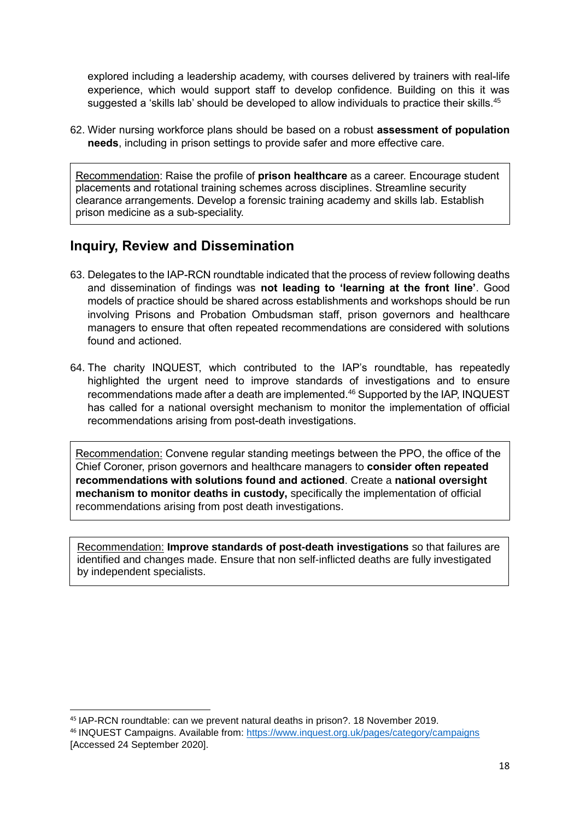explored including a leadership academy, with courses delivered by trainers with real-life experience, which would support staff to develop confidence. Building on this it was suggested a 'skills lab' should be developed to allow individuals to practice their skills.<sup>45</sup>

62. Wider nursing workforce plans should be based on a robust **assessment of population needs**, including in prison settings to provide safer and more effective care.

Recommendation: Raise the profile of **prison healthcare** as a career. Encourage student placements and rotational training schemes across disciplines. Streamline security clearance arrangements. Develop a forensic training academy and skills lab. Establish prison medicine as a sub-speciality.

### **Inquiry, Review and Dissemination**

- 63. Delegates to the IAP-RCN roundtable indicated that the process of review following deaths and dissemination of findings was **not leading to 'learning at the front line'**. Good models of practice should be shared across establishments and workshops should be run involving Prisons and Probation Ombudsman staff, prison governors and healthcare managers to ensure that often repeated recommendations are considered with solutions found and actioned.
- 64. The charity INQUEST, which contributed to the IAP's roundtable, has repeatedly highlighted the urgent need to improve standards of investigations and to ensure recommendations made after a death are implemented. <sup>46</sup> Supported by the IAP, INQUEST has called for a national oversight mechanism to monitor the implementation of official recommendations arising from post-death investigations.

Recommendation: Convene regular standing meetings between the PPO, the office of the Chief Coroner, prison governors and healthcare managers to **consider often repeated recommendations with solutions found and actioned**. Create a **national oversight mechanism to monitor deaths in custody,** specifically the implementation of official recommendations arising from post death investigations.

Recommendation: **Improve standards of post-death investigations** so that failures are identified and changes made. Ensure that non self-inflicted deaths are fully investigated by independent specialists.

<sup>45</sup> IAP-RCN roundtable: can we prevent natural deaths in prison?. 18 November 2019.

<sup>46</sup> INQUEST Campaigns. Available from: <https://www.inquest.org.uk/pages/category/campaigns> [Accessed 24 September 2020].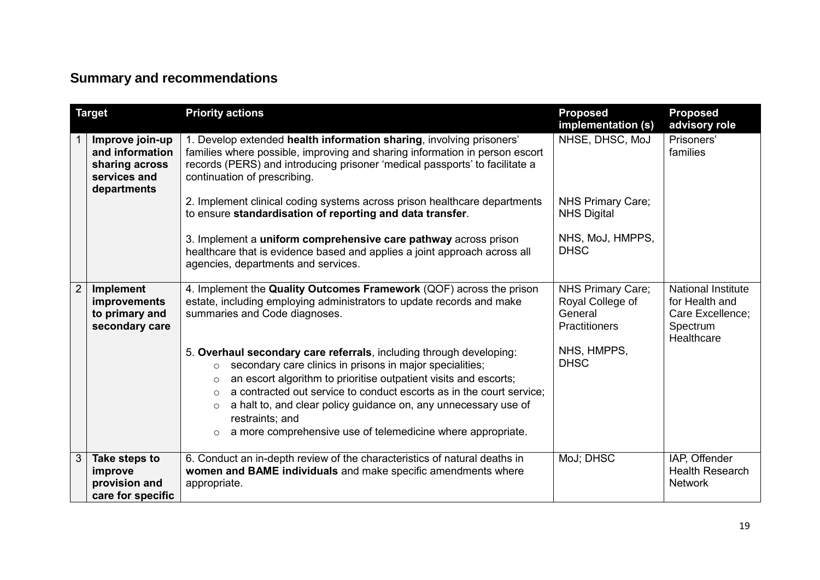# **Summary and recommendations**

| <b>Target</b>  |                                                                                     | <b>Priority actions</b>                                                                                                                                                                                                                                                                                                                                                                                                                                                                 | <b>Proposed</b><br>implementation (s)   | <b>Proposed</b><br>advisory role                                                          |
|----------------|-------------------------------------------------------------------------------------|-----------------------------------------------------------------------------------------------------------------------------------------------------------------------------------------------------------------------------------------------------------------------------------------------------------------------------------------------------------------------------------------------------------------------------------------------------------------------------------------|-----------------------------------------|-------------------------------------------------------------------------------------------|
|                | Improve join-up<br>and information<br>sharing across<br>services and<br>departments | 1. Develop extended health information sharing, involving prisoners'<br>families where possible, improving and sharing information in person escort<br>records (PERS) and introducing prisoner 'medical passports' to facilitate a<br>continuation of prescribing.                                                                                                                                                                                                                      | NHSE, DHSC, MoJ                         | Prisoners'<br>families                                                                    |
|                |                                                                                     | 2. Implement clinical coding systems across prison healthcare departments<br>to ensure standardisation of reporting and data transfer.                                                                                                                                                                                                                                                                                                                                                  | NHS Primary Care;<br><b>NHS Digital</b> |                                                                                           |
|                |                                                                                     | 3. Implement a uniform comprehensive care pathway across prison<br>healthcare that is evidence based and applies a joint approach across all<br>agencies, departments and services.                                                                                                                                                                                                                                                                                                     | NHS, MoJ, HMPPS,<br><b>DHSC</b>         |                                                                                           |
| 2 <sup>1</sup> | <b>Implement</b><br>improvements<br>to primary and<br>secondary care                | 4. Implement the Quality Outcomes Framework (QOF) across the prison<br>estate, including employing administrators to update records and make<br>summaries and Code diagnoses.                                                                                                                                                                                                                                                                                                           |                                         | <b>National Institute</b><br>for Health and<br>Care Excellence;<br>Spectrum<br>Healthcare |
|                |                                                                                     | 5. Overhaul secondary care referrals, including through developing:<br>secondary care clinics in prisons in major specialities;<br>$\circ$<br>an escort algorithm to prioritise outpatient visits and escorts;<br>$\circ$<br>a contracted out service to conduct escorts as in the court service;<br>$\circ$<br>a halt to, and clear policy guidance on, any unnecessary use of<br>$\circ$<br>restraints; and<br>a more comprehensive use of telemedicine where appropriate.<br>$\circ$ | NHS, HMPPS,<br><b>DHSC</b>              |                                                                                           |
| 3 <sup>1</sup> | Take steps to<br>improve<br>provision and<br>care for specific                      | 6. Conduct an in-depth review of the characteristics of natural deaths in<br>women and BAME individuals and make specific amendments where<br>appropriate.                                                                                                                                                                                                                                                                                                                              | MoJ; DHSC                               | IAP, Offender<br><b>Health Research</b><br><b>Network</b>                                 |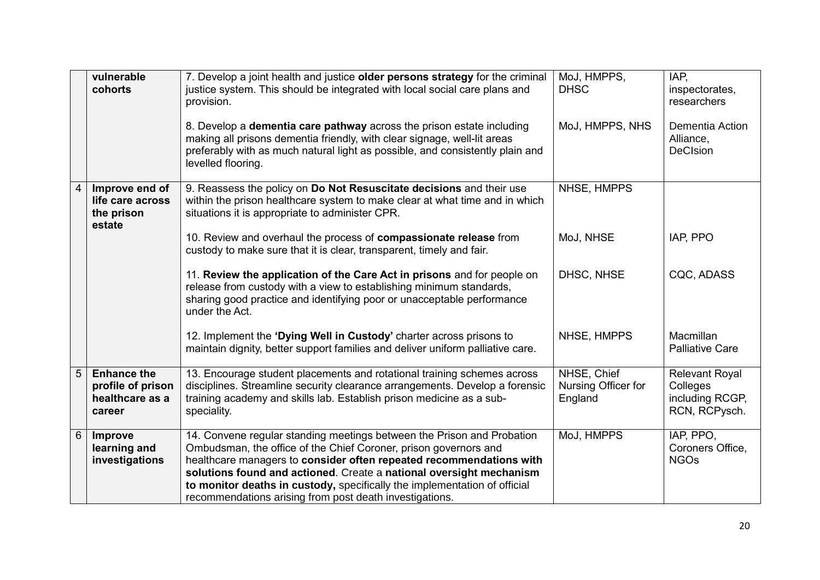|                | vulnerable<br>cohorts                                                | 7. Develop a joint health and justice older persons strategy for the criminal<br>justice system. This should be integrated with local social care plans and<br>provision.                                                                                                                                                                                                                                                        | MoJ, HMPPS,<br><b>DHSC</b>                    | IAP.<br>inspectorates,<br>researchers                                 |
|----------------|----------------------------------------------------------------------|----------------------------------------------------------------------------------------------------------------------------------------------------------------------------------------------------------------------------------------------------------------------------------------------------------------------------------------------------------------------------------------------------------------------------------|-----------------------------------------------|-----------------------------------------------------------------------|
|                |                                                                      | 8. Develop a dementia care pathway across the prison estate including<br>making all prisons dementia friendly, with clear signage, well-lit areas<br>preferably with as much natural light as possible, and consistently plain and<br>levelled flooring.                                                                                                                                                                         | MoJ, HMPPS, NHS                               | Dementia Action<br>Alliance,<br><b>DeCIsion</b>                       |
| 4              | Improve end of<br>life care across<br>the prison<br>estate           | 9. Reassess the policy on Do Not Resuscitate decisions and their use<br>within the prison healthcare system to make clear at what time and in which<br>situations it is appropriate to administer CPR.                                                                                                                                                                                                                           | NHSE, HMPPS                                   |                                                                       |
|                |                                                                      | 10. Review and overhaul the process of compassionate release from<br>custody to make sure that it is clear, transparent, timely and fair.                                                                                                                                                                                                                                                                                        | MoJ, NHSE                                     | IAP, PPO                                                              |
|                |                                                                      | 11. Review the application of the Care Act in prisons and for people on<br>release from custody with a view to establishing minimum standards,<br>sharing good practice and identifying poor or unacceptable performance<br>under the Act.                                                                                                                                                                                       | DHSC, NHSE                                    | CQC, ADASS                                                            |
|                |                                                                      | 12. Implement the 'Dying Well in Custody' charter across prisons to<br>maintain dignity, better support families and deliver uniform palliative care.                                                                                                                                                                                                                                                                            | NHSE, HMPPS                                   | Macmillan<br><b>Palliative Care</b>                                   |
| 5 <sup>5</sup> | <b>Enhance the</b><br>profile of prison<br>healthcare as a<br>career | 13. Encourage student placements and rotational training schemes across<br>disciplines. Streamline security clearance arrangements. Develop a forensic<br>training academy and skills lab. Establish prison medicine as a sub-<br>speciality.                                                                                                                                                                                    | NHSE, Chief<br>Nursing Officer for<br>England | <b>Relevant Royal</b><br>Colleges<br>including RCGP,<br>RCN, RCPysch. |
| 6              | Improve<br>learning and<br>investigations                            | 14. Convene regular standing meetings between the Prison and Probation<br>Ombudsman, the office of the Chief Coroner, prison governors and<br>healthcare managers to consider often repeated recommendations with<br>solutions found and actioned. Create a national oversight mechanism<br>to monitor deaths in custody, specifically the implementation of official<br>recommendations arising from post death investigations. | MoJ, HMPPS                                    | IAP, PPO,<br>Coroners Office,<br><b>NGOs</b>                          |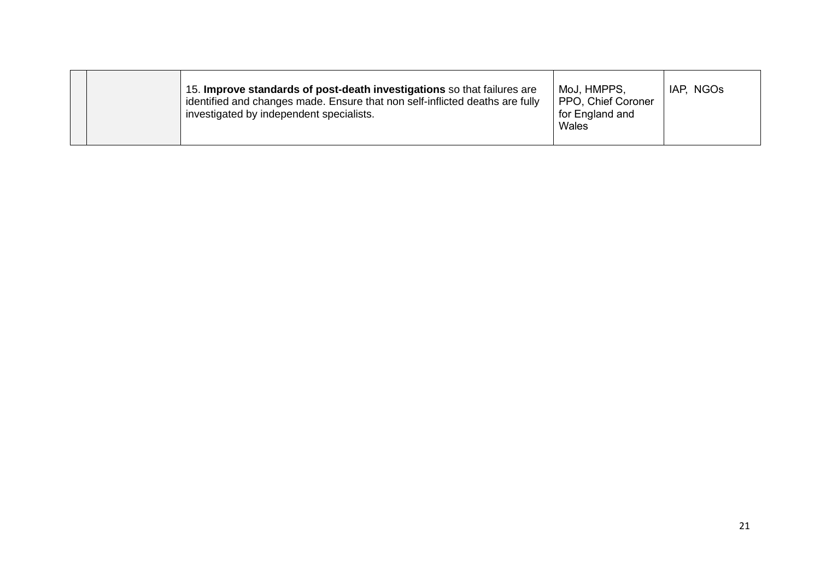|  |  | 15. Improve standards of post-death investigations so that failures are<br>identified and changes made. Ensure that non self-inflicted deaths are fully<br>investigated by independent specialists. | MoJ, HMPPS,<br>PPO, Chief Coroner<br>for England and<br>Wales | IAP, NGOs |
|--|--|-----------------------------------------------------------------------------------------------------------------------------------------------------------------------------------------------------|---------------------------------------------------------------|-----------|
|--|--|-----------------------------------------------------------------------------------------------------------------------------------------------------------------------------------------------------|---------------------------------------------------------------|-----------|